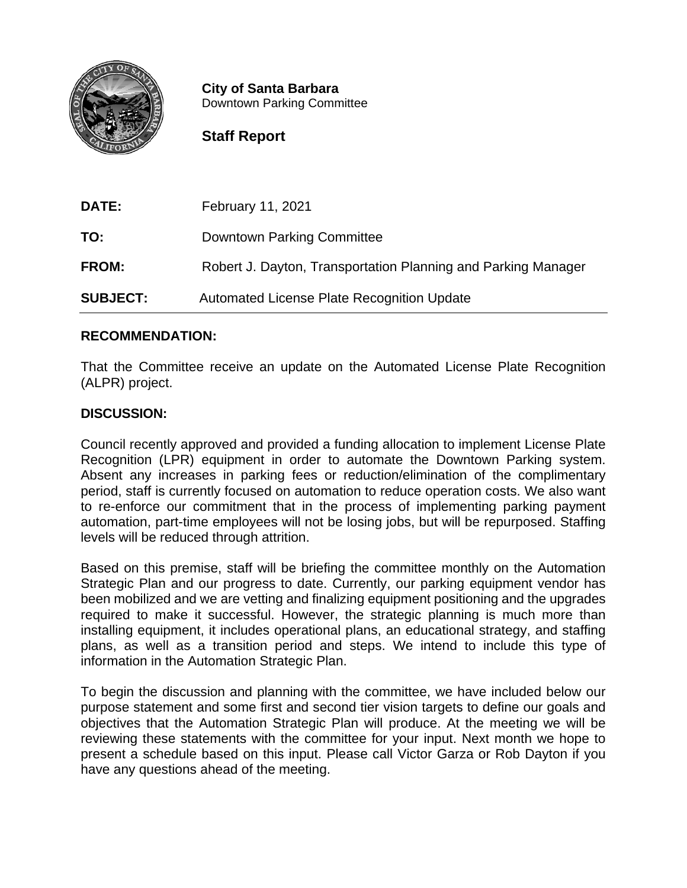

**City of Santa Barbara** Downtown Parking Committee

# **Staff Report**

**DATE:** February 11, 2021 **TO:** Downtown Parking Committee **FROM:** Robert J. Dayton, Transportation Planning and Parking Manager **SUBJECT:** Automated License Plate Recognition Update

# **RECOMMENDATION:**

That the Committee receive an update on the Automated License Plate Recognition (ALPR) project.

# **DISCUSSION:**

Council recently approved and provided a funding allocation to implement License Plate Recognition (LPR) equipment in order to automate the Downtown Parking system. Absent any increases in parking fees or reduction/elimination of the complimentary period, staff is currently focused on automation to reduce operation costs. We also want to re-enforce our commitment that in the process of implementing parking payment automation, part-time employees will not be losing jobs, but will be repurposed. Staffing levels will be reduced through attrition.

Based on this premise, staff will be briefing the committee monthly on the Automation Strategic Plan and our progress to date. Currently, our parking equipment vendor has been mobilized and we are vetting and finalizing equipment positioning and the upgrades required to make it successful. However, the strategic planning is much more than installing equipment, it includes operational plans, an educational strategy, and staffing plans, as well as a transition period and steps. We intend to include this type of information in the Automation Strategic Plan.

To begin the discussion and planning with the committee, we have included below our purpose statement and some first and second tier vision targets to define our goals and objectives that the Automation Strategic Plan will produce. At the meeting we will be reviewing these statements with the committee for your input. Next month we hope to present a schedule based on this input. Please call Victor Garza or Rob Dayton if you have any questions ahead of the meeting.